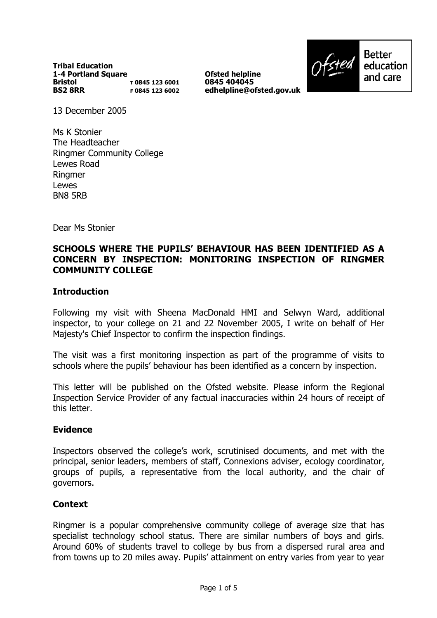**Tribal Education 1-4 Portland Square Bristol BS2 8RR T 0845 123 6001 F 0845 123 6002**

**Ofsted helpline 0845 404045 edhelpline@ofsted.gov.uk**



Better education and care

13 December 2005

Ms K Stonier The Headteacher Ringmer Community College Lewes Road **Ringmer** Lewes BN8 5RB

Dear Ms Stonier

### **SCHOOLS WHERE THE PUPILSí BEHAVIOUR HAS BEEN IDENTIFIED AS A CONCERN BY INSPECTION: MONITORING INSPECTION OF RINGMER COMMUNITY COLLEGE**

### **Introduction**

Following my visit with Sheena MacDonald HMI and Selwyn Ward, additional inspector, to your college on 21 and 22 November 2005, I write on behalf of Her Majesty's Chief Inspector to confirm the inspection findings.

The visit was a first monitoring inspection as part of the programme of visits to schools where the pupils' behaviour has been identified as a concern by inspection.

This letter will be published on the Ofsted website. Please inform the Regional Inspection Service Provider of any factual inaccuracies within 24 hours of receipt of this letter.

### **Evidence**

Inspectors observed the college's work, scrutinised documents, and met with the principal, senior leaders, members of staff, Connexions adviser, ecology coordinator, groups of pupils, a representative from the local authority, and the chair of governors.

### **Context**

Ringmer is a popular comprehensive community college of average size that has specialist technology school status. There are similar numbers of boys and girls. Around 60% of students travel to college by bus from a dispersed rural area and from towns up to 20 miles away. Pupilsí attainment on entry varies from year to year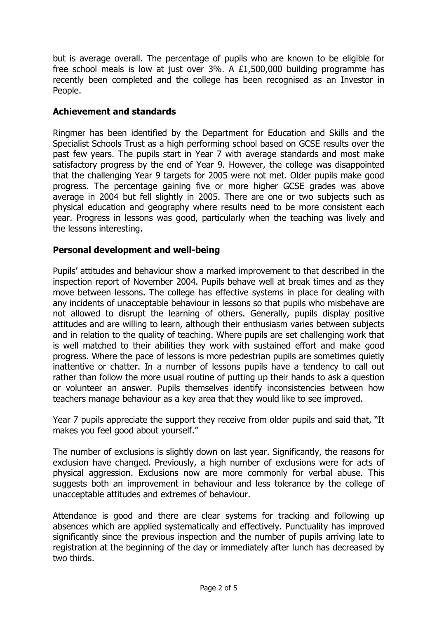but is average overall. The percentage of pupils who are known to be eligible for free school meals is low at just over 3%. A £1,500,000 building programme has recently been completed and the college has been recognised as an Investor in People.

## **Achievement and standards**

Ringmer has been identified by the Department for Education and Skills and the Specialist Schools Trust as a high performing school based on GCSE results over the past few years. The pupils start in Year 7 with average standards and most make satisfactory progress by the end of Year 9. However, the college was disappointed that the challenging Year 9 targets for 2005 were not met. Older pupils make good progress. The percentage gaining five or more higher GCSE grades was above average in 2004 but fell slightly in 2005. There are one or two subjects such as physical education and geography where results need to be more consistent each year. Progress in lessons was good, particularly when the teaching was lively and the lessons interesting.

## **Personal development and well-being**

Pupils' attitudes and behaviour show a marked improvement to that described in the inspection report of November 2004. Pupils behave well at break times and as they move between lessons. The college has effective systems in place for dealing with any incidents of unacceptable behaviour in lessons so that pupils who misbehave are not allowed to disrupt the learning of others. Generally, pupils display positive attitudes and are willing to learn, although their enthusiasm varies between subjects and in relation to the quality of teaching. Where pupils are set challenging work that is well matched to their abilities they work with sustained effort and make good progress. Where the pace of lessons is more pedestrian pupils are sometimes quietly inattentive or chatter. In a number of lessons pupils have a tendency to call out rather than follow the more usual routine of putting up their hands to ask a question or volunteer an answer. Pupils themselves identify inconsistencies between how teachers manage behaviour as a key area that they would like to see improved.

Year 7 pupils appreciate the support they receive from older pupils and said that, "It makes you feel good about yourself."

The number of exclusions is slightly down on last year. Significantly, the reasons for exclusion have changed. Previously, a high number of exclusions were for acts of physical aggression. Exclusions now are more commonly for verbal abuse. This suggests both an improvement in behaviour and less tolerance by the college of unacceptable attitudes and extremes of behaviour.

Attendance is good and there are clear systems for tracking and following up absences which are applied systematically and effectively. Punctuality has improved significantly since the previous inspection and the number of pupils arriving late to registration at the beginning of the day or immediately after lunch has decreased by two thirds.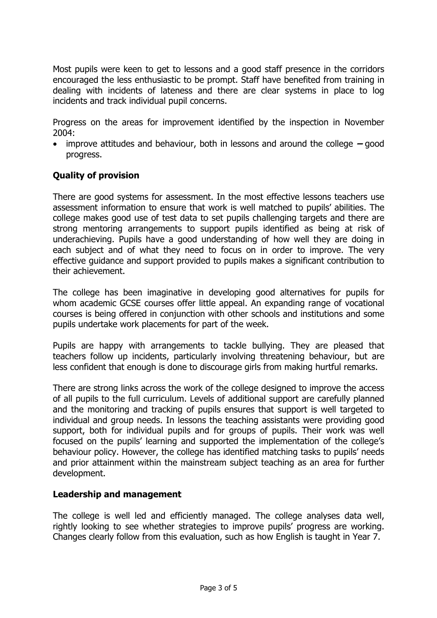Most pupils were keen to get to lessons and a good staff presence in the corridors encouraged the less enthusiastic to be prompt. Staff have benefited from training in dealing with incidents of lateness and there are clear systems in place to log incidents and track individual pupil concerns.

Progress on the areas for improvement identified by the inspection in November 2004:

• improve attitudes and behaviour, both in lessons and around the college  $-\text{good}$ progress.

# **Quality of provision**

There are good systems for assessment. In the most effective lessons teachers use assessment information to ensure that work is well matched to pupilsí abilities. The college makes good use of test data to set pupils challenging targets and there are strong mentoring arrangements to support pupils identified as being at risk of underachieving. Pupils have a good understanding of how well they are doing in each subject and of what they need to focus on in order to improve. The very effective guidance and support provided to pupils makes a significant contribution to their achievement.

The college has been imaginative in developing good alternatives for pupils for whom academic GCSE courses offer little appeal. An expanding range of vocational courses is being offered in conjunction with other schools and institutions and some pupils undertake work placements for part of the week.

Pupils are happy with arrangements to tackle bullying. They are pleased that teachers follow up incidents, particularly involving threatening behaviour, but are less confident that enough is done to discourage girls from making hurtful remarks.

There are strong links across the work of the college designed to improve the access of all pupils to the full curriculum. Levels of additional support are carefully planned and the monitoring and tracking of pupils ensures that support is well targeted to individual and group needs. In lessons the teaching assistants were providing good support, both for individual pupils and for groups of pupils. Their work was well focused on the pupils' learning and supported the implementation of the college's behaviour policy. However, the college has identified matching tasks to pupils' needs and prior attainment within the mainstream subject teaching as an area for further development.

### **Leadership and management**

The college is well led and efficiently managed. The college analyses data well, rightly looking to see whether strategies to improve pupils' progress are working. Changes clearly follow from this evaluation, such as how English is taught in Year 7.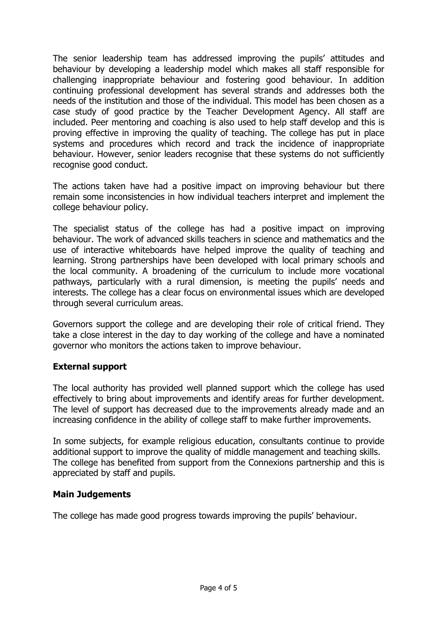The senior leadership team has addressed improving the pupils' attitudes and behaviour by developing a leadership model which makes all staff responsible for challenging inappropriate behaviour and fostering good behaviour. In addition continuing professional development has several strands and addresses both the needs of the institution and those of the individual. This model has been chosen as a case study of good practice by the Teacher Development Agency. All staff are included. Peer mentoring and coaching is also used to help staff develop and this is proving effective in improving the quality of teaching. The college has put in place systems and procedures which record and track the incidence of inappropriate behaviour. However, senior leaders recognise that these systems do not sufficiently recognise good conduct.

The actions taken have had a positive impact on improving behaviour but there remain some inconsistencies in how individual teachers interpret and implement the college behaviour policy.

The specialist status of the college has had a positive impact on improving behaviour. The work of advanced skills teachers in science and mathematics and the use of interactive whiteboards have helped improve the quality of teaching and learning. Strong partnerships have been developed with local primary schools and the local community. A broadening of the curriculum to include more vocational pathways, particularly with a rural dimension, is meeting the pupils' needs and interests. The college has a clear focus on environmental issues which are developed through several curriculum areas.

Governors support the college and are developing their role of critical friend. They take a close interest in the day to day working of the college and have a nominated governor who monitors the actions taken to improve behaviour.

## **External support**

The local authority has provided well planned support which the college has used effectively to bring about improvements and identify areas for further development. The level of support has decreased due to the improvements already made and an increasing confidence in the ability of college staff to make further improvements.

In some subjects, for example religious education, consultants continue to provide additional support to improve the quality of middle management and teaching skills. The college has benefited from support from the Connexions partnership and this is appreciated by staff and pupils.

## **Main Judgements**

The college has made good progress towards improving the pupils' behaviour.